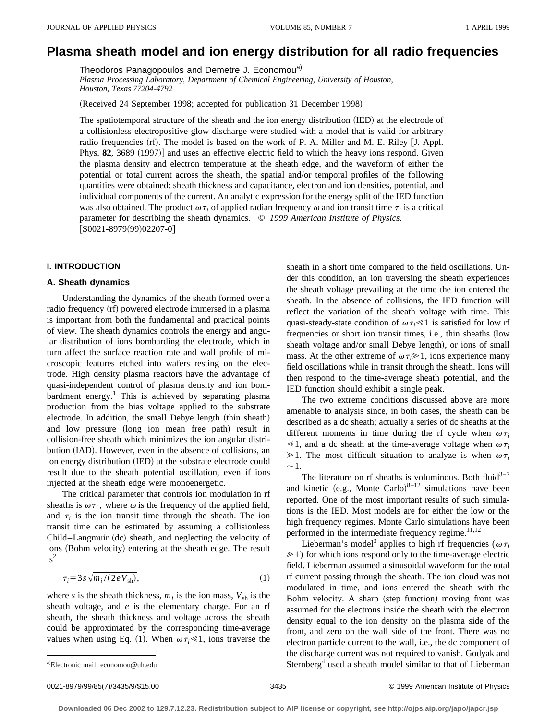# **Plasma sheath model and ion energy distribution for all radio frequencies**

Theodoros Panagopoulos and Demetre J. Economou<sup>a)</sup>

*Plasma Processing Laboratory, Department of Chemical Engineering, University of Houston, Houston, Texas 77204-4792*

(Received 24 September 1998; accepted for publication 31 December 1998)

The spatiotemporal structure of the sheath and the ion energy distribution (IED) at the electrode of a collisionless electropositive glow discharge were studied with a model that is valid for arbitrary radio frequencies  $(rf)$ . The model is based on the work of P. A. Miller and M. E. Riley  $[J, Appl.$ Phys. **82**, 3689  $(1997)$  and uses an effective electric field to which the heavy ions respond. Given the plasma density and electron temperature at the sheath edge, and the waveform of either the potential or total current across the sheath, the spatial and/or temporal profiles of the following quantities were obtained: sheath thickness and capacitance, electron and ion densities, potential, and individual components of the current. An analytic expression for the energy split of the IED function was also obtained. The product  $\omega \tau_i$  of applied radian frequency  $\omega$  and ion transit time  $\tau_i$  is a critical parameter for describing the sheath dynamics. © *1999 American Institute of Physics.*  $[SO021-8979(99)02207-0]$ 

# **I. INTRODUCTION**

## **A. Sheath dynamics**

Understanding the dynamics of the sheath formed over a radio frequency (rf) powered electrode immersed in a plasma is important from both the fundamental and practical points of view. The sheath dynamics controls the energy and angular distribution of ions bombarding the electrode, which in turn affect the surface reaction rate and wall profile of microscopic features etched into wafers resting on the electrode. High density plasma reactors have the advantage of quasi-independent control of plasma density and ion bombardment energy.<sup>1</sup> This is achieved by separating plasma production from the bias voltage applied to the substrate electrode. In addition, the small Debye length (thin sheath) and low pressure (long ion mean free path) result in collision-free sheath which minimizes the ion angular distribution (IAD). However, even in the absence of collisions, an ion energy distribution (IED) at the substrate electrode could result due to the sheath potential oscillation, even if ions injected at the sheath edge were monoenergetic.

The critical parameter that controls ion modulation in rf sheaths is  $\omega \tau_i$ , where  $\omega$  is the frequency of the applied field, and  $\tau_i$  is the ion transit time through the sheath. The ion transit time can be estimated by assuming a collisionless Child–Langmuir (dc) sheath, and neglecting the velocity of ions (Bohm velocity) entering at the sheath edge. The result  $is^2$ 

$$
\tau_i = 3s \sqrt{m_i/(2eV_{\rm sh})},\tag{1}
$$

where *s* is the sheath thickness,  $m_i$  is the ion mass,  $V_{\text{sh}}$  is the sheath voltage, and *e* is the elementary charge. For an rf sheath, the sheath thickness and voltage across the sheath could be approximated by the corresponding time-average values when using Eq. (1). When  $\omega \tau_i \ll 1$ , ions traverse the sheath in a short time compared to the field oscillations. Under this condition, an ion traversing the sheath experiences the sheath voltage prevailing at the time the ion entered the sheath. In the absence of collisions, the IED function will reflect the variation of the sheath voltage with time. This quasi-steady-state condition of  $\omega \tau_i \ll 1$  is satisfied for low rf frequencies or short ion transit times, i.e., thin sheaths (low sheath voltage and/or small Debye length), or ions of small mass. At the other extreme of  $\omega \tau_i \geq 1$ , ions experience many field oscillations while in transit through the sheath. Ions will then respond to the time-average sheath potential, and the IED function should exhibit a single peak.

The two extreme conditions discussed above are more amenable to analysis since, in both cases, the sheath can be described as a dc sheath; actually a series of dc sheaths at the different moments in time during the rf cycle when  $\omega \tau_i$  $\leq 1$ , and a dc sheath at the time-average voltage when  $\omega \tau_i$  $\geq 1$ . The most difficult situation to analyze is when  $\omega \tau_i$  $\sim$ 1.

The literature on rf sheaths is voluminous. Both fluid<sup>3-7</sup> and kinetic (e.g., Monte Carlo)<sup>8-12</sup> simulations have been reported. One of the most important results of such simulations is the IED. Most models are for either the low or the high frequency regimes. Monte Carlo simulations have been performed in the intermediate frequency regime. $11,12$ 

Lieberman's model<sup>3</sup> applies to high rf frequencies ( $\omega \tau_i$  $\geq 1$ ) for which ions respond only to the time-average electric field. Lieberman assumed a sinusoidal waveform for the total rf current passing through the sheath. The ion cloud was not modulated in time, and ions entered the sheath with the Bohm velocity. A sharp (step function) moving front was assumed for the electrons inside the sheath with the electron density equal to the ion density on the plasma side of the front, and zero on the wall side of the front. There was no electron particle current to the wall, i.e., the dc component of the discharge current was not required to vanish. Godyak and Sternberg<sup>4</sup> used a sheath model similar to that of Lieberman

a)Electronic mail: economou@uh.edu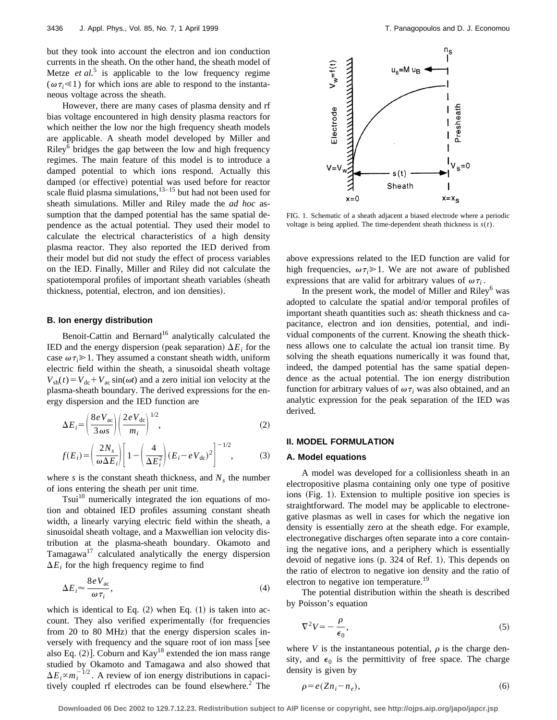but they took into account the electron and ion conduction currents in the sheath. On the other hand, the sheath model of Metze *et al.*<sup>5</sup> is applicable to the low frequency regime  $(\omega \tau_i \ll 1)$  for which ions are able to respond to the instantaneous voltage across the sheath.

However, there are many cases of plasma density and rf bias voltage encountered in high density plasma reactors for which neither the low nor the high frequency sheath models are applicable. A sheath model developed by Miller and Riley $<sup>6</sup>$  bridges the gap between the low and high frequency</sup> regimes. The main feature of this model is to introduce a damped potential to which ions respond. Actually this damped (or effective) potential was used before for reactor scale fluid plasma simulations, $13-15$  but had not been used for sheath simulations. Miller and Riley made the *ad hoc* assumption that the damped potential has the same spatial dependence as the actual potential. They used their model to calculate the electrical characteristics of a high density plasma reactor. They also reported the IED derived from their model but did not study the effect of process variables on the IED. Finally, Miller and Riley did not calculate the spatiotemporal profiles of important sheath variables (sheath thickness, potential, electron, and ion densities).

# **B. Ion energy distribution**

Benoit-Cattin and Bernard<sup>16</sup> analytically calculated the IED and the energy dispersion (peak separation)  $\Delta E_i$  for the case  $\omega \tau_i \geq 1$ . They assumed a constant sheath width, uniform electric field within the sheath, a sinusoidal sheath voltage  $V_{sh}(t) = V_{dc} + V_{ac} \sin(\omega t)$  and a zero initial ion velocity at the plasma-sheath boundary. The derived expressions for the energy dispersion and the IED function are

$$
\Delta E_i = \left(\frac{8\,e\,V_{\rm ac}}{3\,\omega s}\right) \left(\frac{2\,e\,V_{\rm dc}}{m_i}\right)^{1/2},\tag{2}
$$

$$
f(E_i) = \left(\frac{2N_s}{\omega \Delta E_i}\right) \left[1 - \left(\frac{4}{\Delta E_i^2}\right) (E_i - eV_{\text{dc}})^2\right]^{-1/2},\tag{3}
$$

where *s* is the constant sheath thickness, and  $N<sub>s</sub>$  the number of ions entering the sheath per unit time.

Tsui<sup>10</sup> numerically integrated the ion equations of motion and obtained IED profiles assuming constant sheath width, a linearly varying electric field within the sheath, a sinusoidal sheath voltage, and a Maxwellian ion velocity distribution at the plasma-sheath boundary. Okamoto and Tamagawa $17$  calculated analytically the energy dispersion  $\Delta E_i$  for the high frequency regime to find

$$
\Delta E_i \approx \frac{8 \, e \, V_{\text{ac}}}{\omega \, \tau_i},\tag{4}
$$

which is identical to Eq.  $(2)$  when Eq.  $(1)$  is taken into account. They also verified experimentally (for frequencies from 20 to 80 MHz) that the energy dispersion scales inversely with frequency and the square root of ion mass [see also Eq.  $(2)$ ]. Coburn and Kay<sup>18</sup> extended the ion mass range studied by Okamoto and Tamagawa and also showed that  $\Delta E_i \propto m_i^{-1/2}$ . A review of ion energy distributions in capacitively coupled rf electrodes can be found elsewhere.<sup>2</sup> The



FIG. 1. Schematic of a sheath adjacent a biased electrode where a periodic voltage is being applied. The time-dependent sheath thickness is *s*(*t*).

above expressions related to the IED function are valid for high frequencies,  $\omega \tau_i \geq 1$ . We are not aware of published expressions that are valid for arbitrary values of  $\omega \tau_i$ .

In the present work, the model of Miller and  $Riley<sup>6</sup>$  was adopted to calculate the spatial and/or temporal profiles of important sheath quantities such as: sheath thickness and capacitance, electron and ion densities, potential, and individual components of the current. Knowing the sheath thickness allows one to calculate the actual ion transit time. By solving the sheath equations numerically it was found that, indeed, the damped potential has the same spatial dependence as the actual potential. The ion energy distribution function for arbitrary values of  $\omega \tau_i$  was also obtained, and an analytic expression for the peak separation of the IED was derived.

## **II. MODEL FORMULATION**

#### **A. Model equations**

A model was developed for a collisionless sheath in an electropositive plasma containing only one type of positive ions (Fig. 1). Extension to multiple positive ion species is straightforward. The model may be applicable to electronegative plasmas as well in cases for which the negative ion density is essentially zero at the sheath edge. For example, electronegative discharges often separate into a core containing the negative ions, and a periphery which is essentially devoid of negative ions  $(p. 324$  of Ref. 1). This depends on the ratio of electron to negative ion density and the ratio of electron to negative ion temperature.<sup>19</sup>

The potential distribution within the sheath is described by Poisson's equation

$$
\nabla^2 V = -\frac{\rho}{\epsilon_0},\tag{5}
$$

where *V* is the instantaneous potential,  $\rho$  is the charge density, and  $\epsilon_0$  is the permittivity of free space. The charge density is given by

$$
\rho = e(Zn_i - n_e),\tag{6}
$$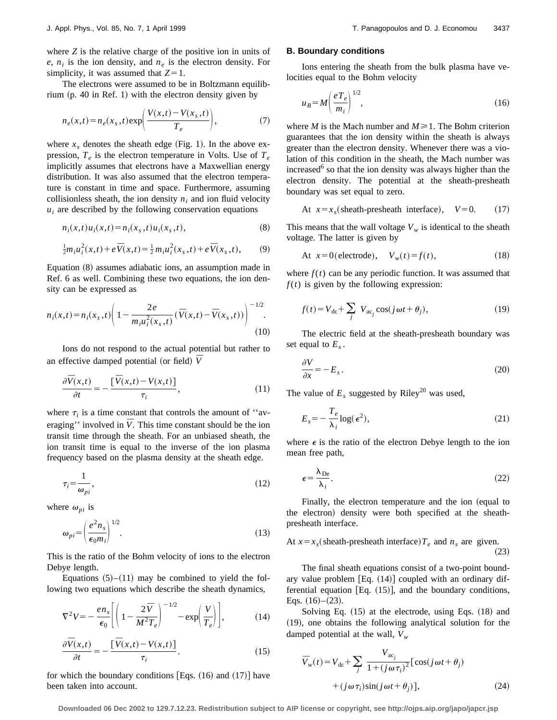where *Z* is the relative charge of the positive ion in units of  $e$ ,  $n_i$  is the ion density, and  $n_e$  is the electron density. For simplicity, it was assumed that  $Z=1$ .

The electrons were assumed to be in Boltzmann equilibrium  $(p. 40$  in Ref. 1) with the electron density given by

$$
n_e(x,t) = n_e(x_s,t) \exp\left(\frac{V(x,t) - V(x_s,t)}{T_e}\right),\tag{7}
$$

where  $x_s$  denotes the sheath edge (Fig. 1). In the above expression,  $T_e$  is the electron temperature in Volts. Use of  $T_e$ implicitly assumes that electrons have a Maxwellian energy distribution. It was also assumed that the electron temperature is constant in time and space. Furthermore, assuming collisionless sheath, the ion density  $n_i$  and ion fluid velocity  $u_i$  are described by the following conservation equations

$$
n_i(x,t)u_i(x,t) = n_i(x_s,t)u_i(x_s,t),
$$
\n(8)

$$
\frac{1}{2}m_{i}u_{i}^{2}(x,t)+e\,\bar{V}(x,t)=\frac{1}{2}m_{i}u_{i}^{2}(x_{s},t)+e\,\bar{V}(x_{s},t),\qquad(9)
$$

Equation  $(8)$  assumes adiabatic ions, an assumption made in Ref. 6 as well. Combining these two equations, the ion density can be expressed as

$$
n_i(x,t) = n_i(x_s,t) \left( 1 - \frac{2e}{m_i u_i^2(x_s,t)} (\overline{V}(x,t) - \overline{V}(x_s,t)) \right)^{-1/2}.
$$
\n(10)

Ions do not respond to the actual potential but rather to an effective damped potential (or field)  $\overline{V}$ 

$$
\frac{\partial \overline{V}(x,t)}{\partial t} = -\frac{\left[\overline{V}(x,t) - V(x,t)\right]}{\tau_i},\tag{11}
$$

where  $\tau_i$  is a time constant that controls the amount of "averaging'' involved in  $\bar{V}$ . This time constant should be the ion transit time through the sheath. For an unbiased sheath, the ion transit time is equal to the inverse of the ion plasma frequency based on the plasma density at the sheath edge.

$$
\tau_i = \frac{1}{\omega_{pi}},\tag{12}
$$

where  $\omega_{pi}$  is

$$
\omega_{pi} = \left(\frac{e^2 n_s}{\epsilon_0 m_i}\right)^{1/2}.\tag{13}
$$

This is the ratio of the Bohm velocity of ions to the electron Debye length.

Equations  $(5)$ – $(11)$  may be combined to yield the following two equations which describe the sheath dynamics,

$$
\nabla^2 V = -\frac{en_s}{\epsilon_0} \left[ \left( 1 - \frac{2\,\bar{V}}{M^2 T_e} \right)^{-1/2} - \exp\!\left( \frac{V}{T_e} \right) \right],\tag{14}
$$

$$
\frac{\partial \overline{V}(x,t)}{\partial t} = -\frac{\left[\overline{V}(x,t) - V(x,t)\right]}{\tau_i}.
$$
\n(15)

for which the boundary conditions [Eqs.  $(16)$  and  $(17)$ ] have been taken into account.

# **B. Boundary conditions**

Ions entering the sheath from the bulk plasma have velocities equal to the Bohm velocity

$$
u_B = M \left(\frac{e T_e}{m_i}\right)^{1/2},\tag{16}
$$

where *M* is the Mach number and  $M \ge 1$ . The Bohm criterion guarantees that the ion density within the sheath is always greater than the electron density. Whenever there was a violation of this condition in the sheath, the Mach number was increased $6$  so that the ion density was always higher than the electron density. The potential at the sheath-presheath boundary was set equal to zero.

At 
$$
x = x_s
$$
 (sheath-presenti interface),  $V=0$ . (17)

This means that the wall voltage  $V_w$  is identical to the sheath voltage. The latter is given by

At 
$$
x=0
$$
 (electrode),  $V_w(t)=f(t)$ , (18)

where  $f(t)$  can be any periodic function. It was assumed that  $f(t)$  is given by the following expression:

$$
f(t) = V_{dc} + \sum_{j} V_{ac_j} \cos(j\omega t + \theta_j),
$$
 (19)

The electric field at the sheath-presheath boundary was set equal to  $E_s$ .

$$
\frac{\partial V}{\partial x} = -E_s \,. \tag{20}
$$

The value of  $E_s$  suggested by Riley<sup>20</sup> was used,

$$
E_s = -\frac{T_e}{\lambda_i} \log(\epsilon^2),\tag{21}
$$

where  $\epsilon$  is the ratio of the electron Debye length to the ion mean free path,

$$
\epsilon = \frac{\lambda_{\text{De}}}{\lambda_i}.\tag{22}
$$

Finally, the electron temperature and the ion (equal to the electron) density were both specified at the sheathpresheath interface.

At 
$$
x = x_s
$$
 (sheath-presenti interface)  $T_e$  and  $n_s$  are given. (23)

The final sheath equations consist of a two-point boundary value problem  $[Eq. (14)]$  coupled with an ordinary differential equation [Eq.  $(15)$ ], and the boundary conditions, Eqs.  $(16)$ – $(23)$ .

Solving Eq.  $(15)$  at the electrode, using Eqs.  $(18)$  and  $(19)$ , one obtains the following analytical solution for the damped potential at the wall,  $\overline{V}_w$ 

$$
\overline{V}_{w}(t) = V_{dc} + \sum_{j} \frac{V_{ac_j}}{1 + (j\omega\tau_i)^2} [\cos(j\omega t + \theta_j) + (j\omega\tau_i)\sin(j\omega t + \theta_j)],
$$
\n(24)

**Downloaded 06 Dec 2002 to 129.7.12.23. Redistribution subject to AIP license or copyright, see http://ojps.aip.org/japo/japcr.jsp**

*¯*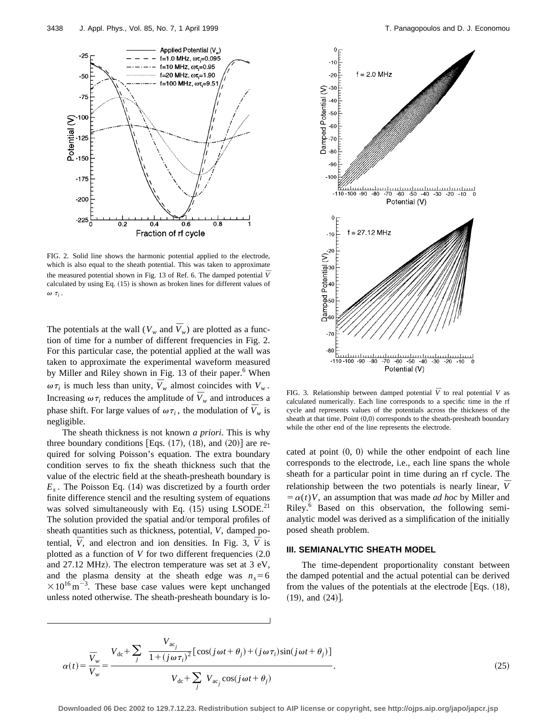

FIG. 2. Solid line shows the harmonic potential applied to the electrode, which is also equal to the sheath potential. This was taken to approximate the measured potential shown in Fig. 13 of Ref. 6. The damped potential  $\overline{V}$ calculated by using Eq.  $(15)$  is shown as broken lines for different values of  $\omega$   $\tau_i$ .

The potentials at the wall ( $V_w$  and  $\overline{V}_w$ ) are plotted as a function of time for a number of different frequencies in Fig. 2. For this particular case, the potential applied at the wall was taken to approximate the experimental waveform measured by Miller and Riley shown in Fig. 13 of their paper.<sup>6</sup> When  $\omega \tau_i$  is much less than unity,  $\bar{V}_w$  almost coincides with  $V_w$ . Increasing  $\omega \tau_i$  reduces the amplitude of  $\overline{V}_w$  and introduces a phase shift. For large values of  $\omega \tau_i$ , the modulation of  $\bar{V}_w$  is negligible.

The sheath thickness is not known *a priori*. This is why three boundary conditions [Eqs.  $(17)$ ,  $(18)$ , and  $(20)$ ] are required for solving Poisson's equation. The extra boundary condition serves to fix the sheath thickness such that the value of the electric field at the sheath-presheath boundary is  $E_s$ . The Poisson Eq. (14) was discretized by a fourth order finite difference stencil and the resulting system of equations was solved simultaneously with Eq.  $(15)$  using LSODE.<sup>21</sup> The solution provided the spatial and/or temporal profiles of sheath quantities such as thickness, potential, *V*, damped potential,  $\overline{V}$ , and electron and ion densities. In Fig. 3,  $\overline{V}$  is plotted as a function of  $V$  for two different frequencies  $(2.0$ and  $27.12$  MHz). The electron temperature was set at  $3 \text{ eV}$ , and the plasma density at the sheath edge was  $n_s = 6$  $\times 10^{16}$  m<sup>-3</sup>. These base case values were kept unchanged unless noted otherwise. The sheath-presheath boundary is lo-



FIG. 3. Relationship between damped potential  $\overline{V}$  to real potential *V* as calculated numerically. Each line corresponds to a specific time in the rf cycle and represents values of the potentials across the thickness of the sheath at that time. Point  $(0,0)$  corresponds to the sheath-presheath boundary while the other end of the line represents the electrode.

cated at point  $(0, 0)$  while the other endpoint of each line corresponds to the electrode, i.e., each line spans the whole sheath for a particular point in time during an rf cycle. The relationship between the two potentials is nearly linear,  $\overline{V}$  $= \alpha(t)V$ , an assumption that was made *ad hoc* by Miller and Riley.<sup>6</sup> Based on this observation, the following semianalytic model was derived as a simplification of the initially posed sheath problem.

# **III. SEMIANALYTIC SHEATH MODEL**

The time-dependent proportionality constant between the damped potential and the actual potential can be derived from the values of the potentials at the electrode [Eqs.  $(18)$ ,  $(19)$ , and  $(24)$ .

$$
\alpha(t) = \frac{\overline{V}_{w}}{V_{w}} = \frac{V_{dc} + \sum_{j} \frac{V_{ac_{j}}}{1 + (j\omega\tau_{i})^{2}} [\cos(j\omega t + \theta_{j}) + (j\omega\tau_{i})\sin(j\omega t + \theta_{j})]}{V_{dc} + \sum_{j} V_{ac_{j}} \cos(j\omega t + \theta_{j})}.
$$
\n(25)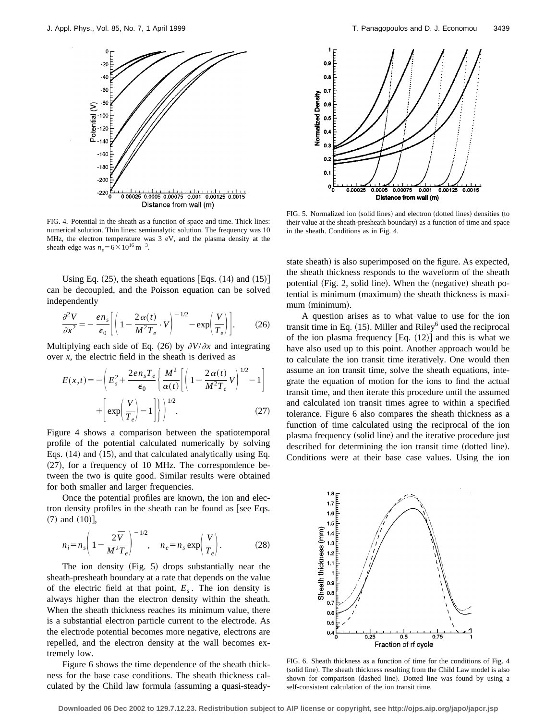

FIG. 4. Potential in the sheath as a function of space and time. Thick lines: numerical solution. Thin lines: semianalytic solution. The frequency was 10 MHz, the electron temperature was 3 eV, and the plasma density at the sheath edge was  $n_s = 6 \times 10^{16} \text{ m}^{-3}$ .

Using Eq.  $(25)$ , the sheath equations [Eqs.  $(14)$  and  $(15)$ ] can be decoupled, and the Poisson equation can be solved independently

$$
\frac{\partial^2 V}{\partial x^2} = -\frac{en_s}{\epsilon_0} \left[ \left( 1 - \frac{2\alpha(t)}{M^2 T_e} \cdot V \right)^{-1/2} - \exp\left( \frac{V}{T_e} \right) \right].
$$
 (26)

Multiplying each side of Eq. (26) by  $\partial V/\partial x$  and integrating over *x*, the electric field in the sheath is derived as

$$
E(x,t) = -\left(E_s^2 + \frac{2en_sT_e}{\epsilon_0} \left\{\frac{M^2}{\alpha(t)} \left[ \left(1 - \frac{2\alpha(t)}{M^2T_e}V\right)^{1/2} - 1\right] + \left[\exp\left(\frac{V}{T_e}\right) - 1\right] \right\}\right)^{1/2}.
$$
 (27)

Figure 4 shows a comparison between the spatiotemporal profile of the potential calculated numerically by solving Eqs.  $(14)$  and  $(15)$ , and that calculated analytically using Eq.  $(27)$ , for a frequency of 10 MHz. The correspondence between the two is quite good. Similar results were obtained for both smaller and larger frequencies.

Once the potential profiles are known, the ion and electron density profiles in the sheath can be found as  $[see Eqs.$  $(7)$  and  $(10)$ ],

$$
n_i = n_s \left( 1 - \frac{2\bar{V}}{M^2 T_e} \right)^{-1/2}, \quad n_e = n_s \exp\left(\frac{V}{T_e}\right). \tag{28}
$$

The ion density  $(Fig. 5)$  drops substantially near the sheath-presheath boundary at a rate that depends on the value of the electric field at that point,  $E<sub>s</sub>$ . The ion density is always higher than the electron density within the sheath. When the sheath thickness reaches its minimum value, there is a substantial electron particle current to the electrode. As the electrode potential becomes more negative, electrons are repelled, and the electron density at the wall becomes extremely low.

Figure 6 shows the time dependence of the sheath thickness for the base case conditions. The sheath thickness calculated by the Child law formula (assuming a quasi-steady-



FIG. 5. Normalized ion (solid lines) and electron (dotted lines) densities (to their value at the sheath-presheath boundary) as a function of time and space in the sheath. Conditions as in Fig. 4.

state sheath) is also superimposed on the figure. As expected, the sheath thickness responds to the waveform of the sheath potential (Fig. 2, solid line). When the (negative) sheath potential is minimum (maximum) the sheath thickness is maximum (minimum).

A question arises as to what value to use for the ion transit time in Eq.  $(15)$ . Miller and Riley<sup>6</sup> used the reciprocal of the ion plasma frequency  $[Eq. (12)]$  and this is what we have also used up to this point. Another approach would be to calculate the ion transit time iteratively. One would then assume an ion transit time, solve the sheath equations, integrate the equation of motion for the ions to find the actual transit time, and then iterate this procedure until the assumed and calculated ion transit times agree to within a specified tolerance. Figure 6 also compares the sheath thickness as a function of time calculated using the reciprocal of the ion plasma frequency (solid line) and the iterative procedure just described for determining the ion transit time (dotted line). Conditions were at their base case values. Using the ion



FIG. 6. Sheath thickness as a function of time for the conditions of Fig. 4 (solid line). The sheath thickness resulting from the Child Law model is also shown for comparison (dashed line). Dotted line was found by using a self-consistent calculation of the ion transit time.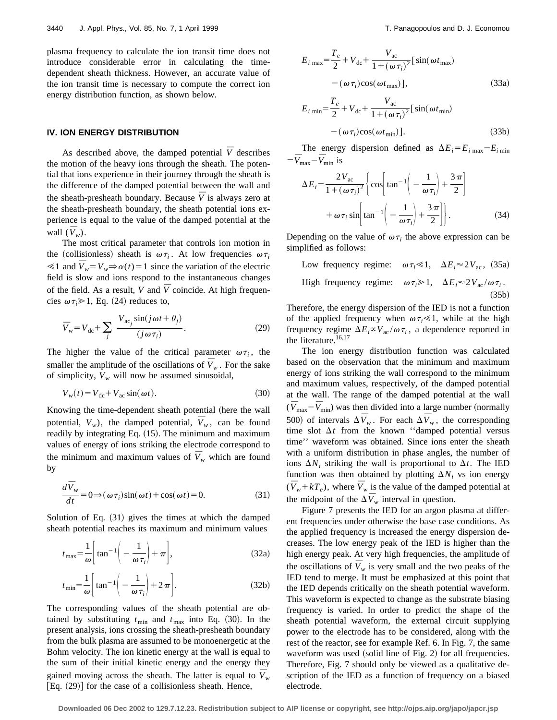plasma frequency to calculate the ion transit time does not introduce considerable error in calculating the timedependent sheath thickness. However, an accurate value of the ion transit time is necessary to compute the correct ion energy distribution function, as shown below.

## **IV. ION ENERGY DISTRIBUTION**

As described above, the damped potential  $\overline{V}$  describes the motion of the heavy ions through the sheath. The potential that ions experience in their journey through the sheath is the difference of the damped potential between the wall and the sheath-presheath boundary. Because  $\overline{V}$  is always zero at the sheath-presheath boundary, the sheath potential ions experience is equal to the value of the damped potential at the wall  $(\bar{V}_w)$ .

The most critical parameter that controls ion motion in the (collisionless) sheath is  $\omega \tau_i$ . At low frequencies  $\omega \tau_i$  $\leq 1$  and  $\overline{V}_w = V_w \Rightarrow \alpha(t) = 1$  since the variation of the electric field is slow and ions respond to the instantaneous changes of the field. As a result, *V* and  $\overline{V}$  coincide. At high frequencies  $\omega \tau_i \geq 1$ , Eq. (24) reduces to,

$$
\overline{V}_w = V_{\rm dc} + \sum_j \frac{V_{\rm ac_j} \sin(j\omega t + \theta_j)}{(j\omega \tau_i)}.
$$
\n(29)

The higher the value of the critical parameter  $\omega \tau_i$ , the smaller the amplitude of the oscillations of  $\overline{V}_w$ . For the sake of simplicity,  $V_w$  will now be assumed sinusoidal,

$$
V_w(t) = V_{dc} + V_{ac} \sin(\omega t). \tag{30}
$$

Knowing the time-dependent sheath potential (here the wall potential,  $V_w$ ), the damped potential,  $\bar{V}_w$ , can be found readily by integrating Eq.  $(15)$ . The minimum and maximum values of energy of ions striking the electrode correspond to the minimum and maximum values of  $\bar{V}_w$  which are found by

$$
\frac{d\bar{V}_w}{dt} = 0 \Longrightarrow (\omega \tau_i) \sin(\omega t) + \cos(\omega t) = 0.
$$
 (31)

Solution of Eq.  $(31)$  gives the times at which the damped sheath potential reaches its maximum and minimum values

$$
t_{\text{max}} = \frac{1}{\omega} \left[ \tan^{-1} \left( -\frac{1}{\omega \tau_i} \right) + \pi \right],\tag{32a}
$$

$$
t_{\min} = \frac{1}{\omega} \left[ \tan^{-1} \left( -\frac{1}{\omega \tau_i} \right) + 2\pi \right].
$$
 (32b)

The corresponding values of the sheath potential are obtained by substituting  $t_{\text{min}}$  and  $t_{\text{max}}$  into Eq. (30). In the present analysis, ions crossing the sheath-presheath boundary from the bulk plasma are assumed to be monoenergetic at the Bohm velocity. The ion kinetic energy at the wall is equal to the sum of their initial kinetic energy and the energy they gained moving across the sheath. The latter is equal to  $\bar{V}_w$ [Eq.  $(29)$ ] for the case of a collisionless sheath. Hence,

$$
E_{i \max} = \frac{T_e}{2} + V_{dc} + \frac{V_{ac}}{1 + (\omega \tau_i)^2} [\sin(\omega t_{max})
$$
  

$$
-(\omega \tau_i) \cos(\omega t_{max})],
$$
(33a)  

$$
E_{i \min} = \frac{T_e}{2} + V_{dc} + \frac{V_{ac}}{1 + (\omega \tau_i)^2} [\sin(\omega t_{min})
$$
  

$$
-(\omega \tau_i) \cos(\omega t_{min})].
$$
(33b)

The energy dispersion defined as  $\Delta E_i = E_i_{\text{max}} - E_i_{\text{min}}$  $=$  $\bar{V}_{\text{max}} - \bar{V}_{\text{min}}$  is

$$
\Delta E_i = \frac{2V_{ac}}{1 + (\omega \tau_i)^2} \left\{ \cos \left[ \tan^{-1} \left( -\frac{1}{\omega \tau_i} \right) + \frac{3\pi}{2} \right] + \omega \tau_i \sin \left[ \tan^{-1} \left( -\frac{1}{\omega \tau_i} \right) + \frac{3\pi}{2} \right] \right\}.
$$
 (34)

Depending on the value of  $\omega \tau_i$  the above expression can be simplified as follows:

Low frequency regime:  $\omega \tau_i \ll 1$ ,  $\Delta E_i \approx 2V_{ac}$ , (35a) High frequency regime:  $\omega \tau_i \geq 1$ ,  $\Delta E_i \approx 2 V_{ac} / \omega \tau_i$ .  $(35b)$ 

Therefore, the energy dispersion of the IED is not a function of the applied frequency when  $\omega \tau_i \ll 1$ , while at the high frequency regime  $\Delta E_i \propto V_{ac}/\omega \tau_i$ , a dependence reported in the literature.<sup>16,17</sup>

The ion energy distribution function was calculated based on the observation that the minimum and maximum energy of ions striking the wall correspond to the minimum and maximum values, respectively, of the damped potential at the wall. The range of the damped potential at the wall  $(\bar{V}_{\text{max}} - \bar{V}_{\text{min}})$  was then divided into a large number (normally 500) of intervals  $\Delta \overline{V}_w$ . For each  $\Delta \overline{V}_w$ , the corresponding time slot  $\Delta t$  from the known "damped potential versus time'' waveform was obtained. Since ions enter the sheath with a uniform distribution in phase angles, the number of ions  $\Delta N_i$  striking the wall is proportional to  $\Delta t$ . The IED function was then obtained by plotting  $\Delta N_i$  vs ion energy  $(\bar{V}_w + kT_e)$ , where  $\bar{V}_w$  is the value of the damped potential at the midpoint of the  $\Delta \overline{V}_w$  interval in question.

Figure 7 presents the IED for an argon plasma at different frequencies under otherwise the base case conditions. As the applied frequency is increased the energy dispersion decreases. The low energy peak of the IED is higher than the high energy peak. At very high frequencies, the amplitude of the oscillations of  $\overline{V}_w$  is very small and the two peaks of the IED tend to merge. It must be emphasized at this point that the IED depends critically on the sheath potential waveform. This waveform is expected to change as the substrate biasing frequency is varied. In order to predict the shape of the sheath potential waveform, the external circuit supplying power to the electrode has to be considered, along with the rest of the reactor, see for example Ref. 6. In Fig. 7, the same waveform was used (solid line of Fig. 2) for all frequencies. Therefore, Fig. 7 should only be viewed as a qualitative description of the IED as a function of frequency on a biased electrode.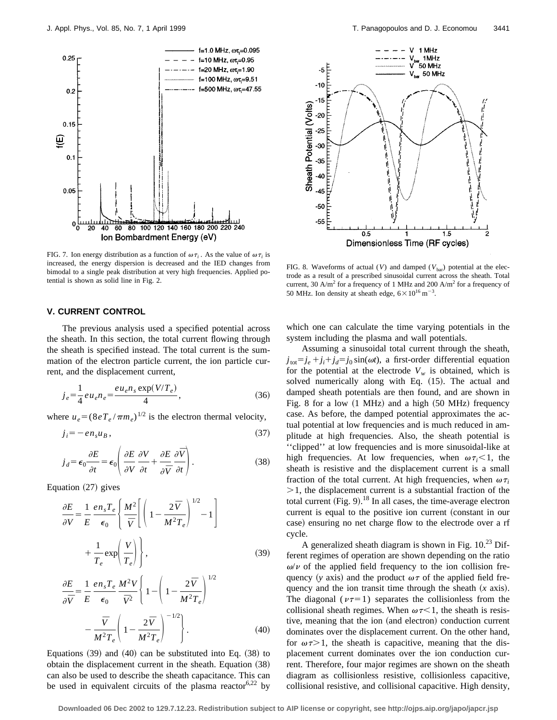

FIG. 7. Ion energy distribution as a function of  $\omega \tau_i$ . As the value of  $\omega \tau_i$  is increased, the energy dispersion is decreased and the IED changes from bimodal to a single peak distribution at very high frequencies. Applied potential is shown as solid line in Fig. 2.

## **V. CURRENT CONTROL**

The previous analysis used a specified potential across the sheath. In this section, the total current flowing through the sheath is specified instead. The total current is the summation of the electron particle current, the ion particle current, and the displacement current,

$$
j_e = \frac{1}{4} e u_e n_e = \frac{e u_e n_s \exp(V/T_e)}{4},
$$
\n(36)

where  $u_e = (8eT_e / \pi m_e)^{1/2}$  is the electron thermal velocity,

$$
j_i = -en_s u_B, \t\t(37)
$$

$$
j_d = \epsilon_0 \frac{\partial E}{\partial t} = \epsilon_0 \left( \frac{\partial E}{\partial V} \frac{\partial V}{\partial t} + \frac{\partial E}{\partial \overline{V}} \frac{\partial \overline{V}}{\partial t} \right).
$$
 (38)

Equation  $(27)$  gives

$$
\frac{\partial E}{\partial V} = \frac{1}{E} \frac{en_s T_e}{\epsilon_0} \left\{ \frac{M^2}{\bar{V}} \left[ \left( 1 - \frac{2\bar{V}}{M^2 T_e} \right)^{1/2} - 1 \right] + \frac{1}{T_e} \exp\left( \frac{V}{T_e} \right) \right\},\tag{39}
$$

$$
\frac{\partial E}{\partial \overline{V}} = \frac{1}{E} \frac{en_s T_e}{\epsilon_0} \frac{M^2 V}{\overline{V}^2} \left\{ 1 - \left( 1 - \frac{2 \overline{V}}{M^2 T_e} \right)^{1/2} - \frac{\overline{V}}{M^2 T_e} \left( 1 - \frac{2 \overline{V}}{M^2 T_e} \right)^{-1/2} \right\}.
$$
(40)

Equations  $(39)$  and  $(40)$  can be substituted into Eq.  $(38)$  to obtain the displacement current in the sheath. Equation  $(38)$ can also be used to describe the sheath capacitance. This can be used in equivalent circuits of the plasma reactor  $6.22$  by



FIG. 8. Waveforms of actual (*V*) and damped ( $V_{\text{bar}}$ ) potential at the electrode as a result of a prescribed sinusoidal current across the sheath. Total current, 30 A/m<sup>2</sup> for a frequency of 1 MHz and 200 A/m<sup>2</sup> for a frequency of 50 MHz. Ion density at sheath edge,  $6 \times 10^{16}$  m<sup>-3</sup>.

which one can calculate the time varying potentials in the system including the plasma and wall potentials.

Assuming a sinusoidal total current through the sheath,  $j_{\text{tot}} = j_e + j_i + j_d = j_0 \sin(\omega t)$ , a first-order differential equation for the potential at the electrode  $V_w$  is obtained, which is solved numerically along with Eq. (15). The actual and damped sheath potentials are then found, and are shown in Fig. 8 for a low  $(1 \text{ MHz})$  and a high  $(50 \text{ MHz})$  frequency case. As before, the damped potential approximates the actual potential at low frequencies and is much reduced in amplitude at high frequencies. Also, the sheath potential is ''clipped'' at low frequencies and is more sinusoidal-like at high frequencies. At low frequencies, when  $\omega \tau_i \leq 1$ , the sheath is resistive and the displacement current is a small fraction of the total current. At high frequencies, when  $\omega \tau_i$  $>1$ , the displacement current is a substantial fraction of the total current (Fig. 9).<sup>18</sup> In all cases, the time-average electron current is equal to the positive ion current (constant in our case) ensuring no net charge flow to the electrode over a rf cycle.

A generalized sheath diagram is shown in Fig.  $10^{23}$  Different regimes of operation are shown depending on the ratio  $\omega/\nu$  of the applied field frequency to the ion collision frequency (*y* axis) and the product  $\omega \tau$  of the applied field frequency and the ion transit time through the sheath  $(x \text{ axis})$ . The diagonal ( $\nu\tau=1$ ) separates the collisionless from the collisional sheath regimes. When  $\omega \tau \leq 1$ , the sheath is resistive, meaning that the ion (and electron) conduction current dominates over the displacement current. On the other hand, for  $\omega \tau > 1$ , the sheath is capacitive, meaning that the displacement current dominates over the ion conduction current. Therefore, four major regimes are shown on the sheath diagram as collisionless resistive, collisionless capacitive, collisional resistive, and collisional capacitive. High density,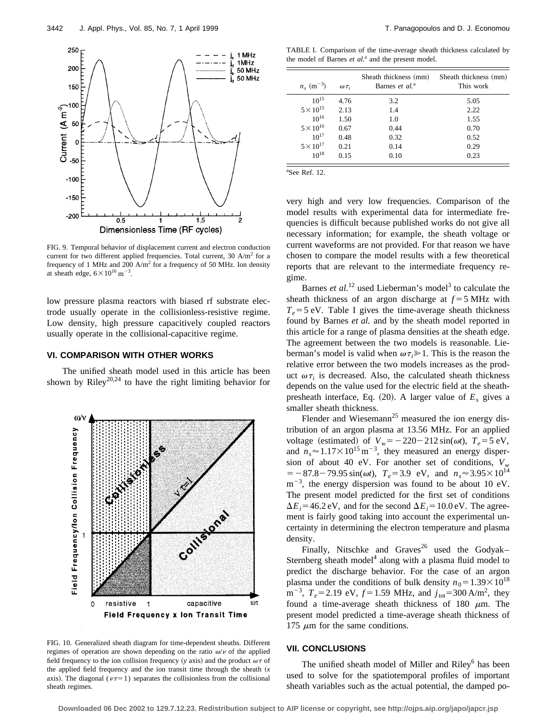

FIG. 9. Temporal behavior of displacement current and electron conduction current for two different applied frequencies. Total current,  $30$  A/m<sup>2</sup> for a frequency of 1 MHz and 200  $A/m^2$  for a frequency of 50 MHz. Ion density at sheath edge,  $6 \times 10^{16}$  m<sup>-3</sup>.

low pressure plasma reactors with biased rf substrate electrode usually operate in the collisionless-resistive regime. Low density, high pressure capacitively coupled reactors usually operate in the collisional-capacitive regime.

# **VI. COMPARISON WITH OTHER WORKS**

The unified sheath model used in this article has been shown by Riley<sup>20,24</sup> to have the right limiting behavior for



FIG. 10. Generalized sheath diagram for time-dependent sheaths. Different regimes of operation are shown depending on the ratio  $\omega/\nu$  of the applied field frequency to the ion collision frequency (*y* axis) and the product  $\omega \tau$  of the applied field frequency and the ion transit time through the sheath  $(x + x + y)$ axis). The diagonal ( $\nu\tau=1$ ) separates the collisionless from the collisional sheath regimes.

TABLE I. Comparison of the time-average sheath thickness calculated by the model of Barnes et al.<sup>a</sup> and the present model.

| $n_{\rm s}$ (m <sup>-3</sup> ) | $\omega \tau_i$ | Sheath thickness (mm)<br>Barnes et al. <sup>a</sup> | Sheath thickness (mm)<br>This work |
|--------------------------------|-----------------|-----------------------------------------------------|------------------------------------|
| $10^{15}$                      | 4.76            | 3.2                                                 | 5.05                               |
| $5 \times 10^{15}$             | 2.13            | 1.4                                                 | 2.22                               |
| $10^{16}$                      | 1.50            | 1.0                                                 | 1.55                               |
| $5 \times 10^{16}$             | 0.67            | 0.44                                                | 0.70                               |
| $10^{17}$                      | 0.48            | 0.32                                                | 0.52                               |
| $5 \times 10^{17}$             | 0.21            | 0.14                                                | 0.29                               |
| $10^{18}$                      | 0.15            | 0.10                                                | 0.23                               |

a See Ref. 12.

very high and very low frequencies. Comparison of the model results with experimental data for intermediate frequencies is difficult because published works do not give all necessary information; for example, the sheath voltage or current waveforms are not provided. For that reason we have chosen to compare the model results with a few theoretical reports that are relevant to the intermediate frequency regime.

Barnes *et al.*<sup>12</sup> used Lieberman's model<sup>3</sup> to calculate the sheath thickness of an argon discharge at  $f = 5$  MHz with  $T_e$ =5 eV. Table I gives the time-average sheath thickness found by Barnes *et al.* and by the sheath model reported in this article for a range of plasma densities at the sheath edge. The agreement between the two models is reasonable. Lieberman's model is valid when  $\omega \tau_i \geq 1$ . This is the reason the relative error between the two models increases as the product  $\omega \tau_i$  is decreased. Also, the calculated sheath thickness depends on the value used for the electric field at the sheathpresheath interface, Eq.  $(20)$ . A larger value of  $E<sub>s</sub>$  gives a smaller sheath thickness.

Flender and Wiesemann<sup>25</sup> measured the ion energy distribution of an argon plasma at 13.56 MHz. For an applied voltage (estimated) of  $V_w = -220-212 \sin(\omega t)$ ,  $T_e = 5 \text{ eV}$ , and  $n_s \approx 1.17 \times 10^{15} \text{ m}^{-3}$ , they measured an energy dispersion of about 40 eV. For another set of conditions,  $V_w$  $T_e = -87.8 - 79.95 \sin(\omega t)$ ,  $T_e = 3.9$  eV, and  $n_s \approx 3.95 \times 10^{14}$  $m^{-3}$ , the energy dispersion was found to be about 10 eV. The present model predicted for the first set of conditions  $\Delta E_i = 46.2$  eV, and for the second  $\Delta E_i = 10.0$  eV. The agreement is fairly good taking into account the experimental uncertainty in determining the electron temperature and plasma density.

Finally, Nitschke and Graves<sup>26</sup> used the Godyak– Sternberg sheath model<sup>4</sup> along with a plasma fluid model to predict the discharge behavior. For the case of an argon plasma under the conditions of bulk density  $n_0 = 1.39 \times 10^{18}$  $m^{-3}$ ,  $T_e = 2.19 \text{ eV}$ ,  $f = 1.59 \text{ MHz}$ , and  $j_{\text{tot}} = 300 \text{ A/m}^2$ , they found a time-average sheath thickness of 180  $\mu$ m. The present model predicted a time-average sheath thickness of 175  $\mu$ m for the same conditions.

## **VII. CONCLUSIONS**

The unified sheath model of Miller and  $Riley<sup>6</sup>$  has been used to solve for the spatiotemporal profiles of important sheath variables such as the actual potential, the damped po-

**Downloaded 06 Dec 2002 to 129.7.12.23. Redistribution subject to AIP license or copyright, see http://ojps.aip.org/japo/japcr.jsp**